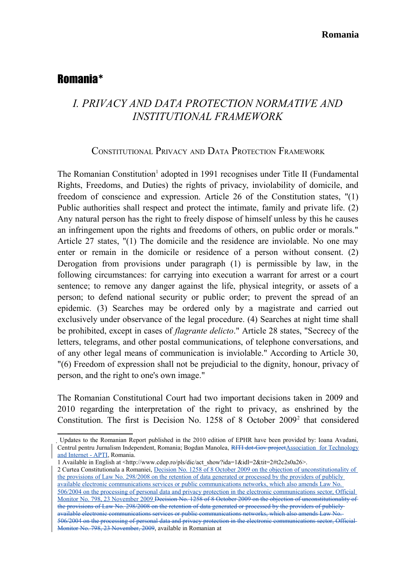## Romania[∗](#page-0-0)

# *I. PRIVACY AND DATA PROTECTION NORMATIVE AND INSTITUTIONAL FRAMEWORK*

### CONSTITUTIONAL PRIVACY AND DATA PROTECTION FRAMEWORK

The Romanian Constitution<sup>[1](#page-0-1)</sup> adopted in 1991 recognises under Title II (Fundamental Rights, Freedoms, and Duties) the rights of privacy, inviolability of domicile, and freedom of conscience and expression. Article 26 of the Constitution states, "(1) Public authorities shall respect and protect the intimate, family and private life. (2) Any natural person has the right to freely dispose of himself unless by this he causes an infringement upon the rights and freedoms of others, on public order or morals." Article 27 states, "(1) The domicile and the residence are inviolable. No one may enter or remain in the domicile or residence of a person without consent. (2) Derogation from provisions under paragraph (1) is permissible by law, in the following circumstances: for carrying into execution a warrant for arrest or a court sentence; to remove any danger against the life, physical integrity, or assets of a person; to defend national security or public order; to prevent the spread of an epidemic*.* (3) Searches may be ordered only by a magistrate and carried out exclusively under observance of the legal procedure. (4) Searches at night time shall be prohibited, except in cases of *flagrante delicto*." Article 28 states, "Secrecy of the letters, telegrams, and other postal communications, of telephone conversations, and of any other legal means of communication is inviolable." According to Article 30, "(6) Freedom of expression shall not be prejudicial to the dignity, honour, privacy of person, and the right to one's own image."

The Romanian Constitutional Court had two important decisions taken in 2009 and 2010 regarding the interpretation of the right to privacy, as enshrined by the Constitution. The first is Decision No. 1[2](#page-0-2)58 of 8 October 2009<sup>2</sup> that considered

<span id="page-0-0"></span>Updates to the Romanian Report published in the 2010 edition of EPHR have been provided by: Ioana Avadani, Centrul pentru Jurnalism Independent, Romania; Bogdan Manolea, RITI dot-Gov projectAssociation for Technology and Internet - APTI, Romania.

<span id="page-0-1"></span><sup>1</sup> Available in English at <http://www.cdep.ro/pls/dic/act\_show?ida=1&idl=2&tit=2#t2c2s0a26>.

<span id="page-0-2"></span><sup>2</sup> Curtea Constitutionala a Romaniei, Decision No. 1258 of 8 October 2009 on the objection of unconstitutionality of the provisions of Law No. 298/2008 on the retention of data generated or processed by the providers of publicly available electronic communications services or public communications networks, which also amends Law No. 506/2004 on the processing of personal data and privacy protection in the electronic communications sector, Official Monitor No. 798, 23 November 2009 Decision No. 1258 of 8 October 2009 on the objection of unconstitutionality of the provisions of Law No. 298/2008 on the retention of data generated or processed by the providers of publicly available electronic communications services or public communications networks, which also amends Law No. 506/2004 on the processing of personal data and privacy protection in the electronic communications sector, Official Monitor No. 798, 23 November, 2009, available in Romanian at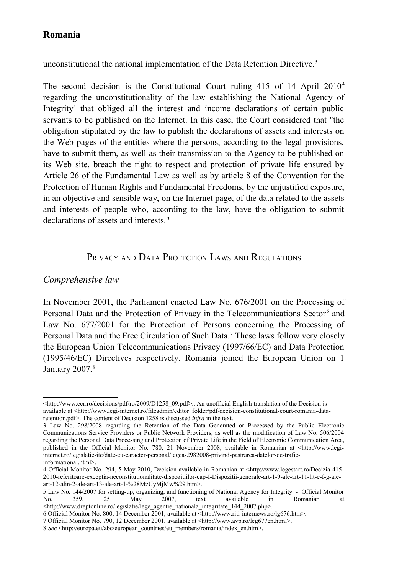unconstitutional the national implementation of the Data Retention Directive.<sup>[3](#page-1-0)</sup>

The second decision is the Constitutional Court ruling  $415$  $415$  of 14 April  $2010<sup>4</sup>$ regarding the unconstitutionality of the law establishing the National Agency of Integrity<sup>[5](#page-1-2)</sup> that obliged all the interest and income declarations of certain public servants to be published on the Internet. In this case, the Court considered that "the obligation stipulated by the law to publish the declarations of assets and interests on the Web pages of the entities where the persons, according to the legal provisions, have to submit them, as well as their transmission to the Agency to be published on its Web site, breach the right to respect and protection of private life ensured by Article 26 of the Fundamental Law as well as by article 8 of the Convention for the Protection of Human Rights and Fundamental Freedoms, by the unjustified exposure, in an objective and sensible way, on the Internet page, of the data related to the assets and interests of people who, according to the law, have the obligation to submit declarations of assets and interests."

### PRIVACY AND DATA PROTECTION LAWS AND REGULATIONS

### *Comprehensive law*

In November 2001, the Parliament enacted Law No. 676/2001 on the Processing of Personal Data and the Protection of Privacy in the Telecommunications Sector<sup>[6](#page-1-3)</sup> and Law No. 677/2001 for the Protection of Persons concerning the Processing of Personal Data and the Free Circulation of Such Data.<sup>[7](#page-1-4)</sup> These laws follow very closely the European Union Telecommunications Privacy (1997/66/EC) and Data Protection (1995/46/EC) Directives respectively. Romania joined the European Union on 1 January  $2007$ . $8$ 

[<sup>&</sup>lt;http://www.ccr.ro/decisions/pdf/ro/2009/D1258\\_09.pdf>](http://www.ccr.ro/decisions/pdf/ro/2009/D1258_09.pdf)., An unofficial English translation of the Decision is available at <http://www.legi-internet.ro/fileadmin/editor\_folder/pdf/decision-constitutional-court-romania-dataretention.pdf>. The content of Decision 1258 is discussed *infra* in the text.

<span id="page-1-0"></span><sup>3</sup> Law No. 298/2008 regarding the Retention of the Data Generated or Processed by the Public Electronic Communications Service Providers or Public Network Providers, as well as the modification of Law No. 506/2004 regarding the Personal Data Processing and Protection of Private Life in the Field of Electronic Communication Area, published in the Official Monitor No. 780, 21 November 2008, available in Romanian at <http://www.legiinternet.ro/legislatie-itc/date-cu-caracter-personal/legea-2982008-privind-pastrarea-datelor-de-traficinformational.html>.

<span id="page-1-1"></span><sup>4</sup> Official Monitor No. 294, 5 May 2010, Decision available in Romanian at <http://www.legestart.ro/Decizia-415- 2010-referitoare-exceptia-neconstitutionalitate-dispozitiilor-cap-I-Dispozitii-generale-art-1-9-ale-art-11-lit-e-f-g-aleart-12-alin-2-ale-art-13-ale-art-1-%28MzUyMjMw%29.htm>.

<span id="page-1-2"></span><sup>5</sup> Law No. 144/2007 for setting-up, organizing, and functioning of National Agency for Integrity - Official Monitor No. 359, 25 May 2007, text available in Romanian at <http://www.dreptonline.ro/legislatie/lege\_agentie\_nationala\_integritate\_144\_2007.php>.

<span id="page-1-3"></span><sup>6</sup> Official Monitor No. 800, 14 December 2001, available at <http://www.riti-internews.ro/lg676.htm>.

<span id="page-1-4"></span><sup>7</sup> Official Monitor No. 790, 12 December 2001, available at <http://www.avp.ro/leg677en.html>.

<span id="page-1-5"></span><sup>8</sup> *See* <http://europa.eu/abc/european\_countries/eu\_members/romania/index\_en.htm>.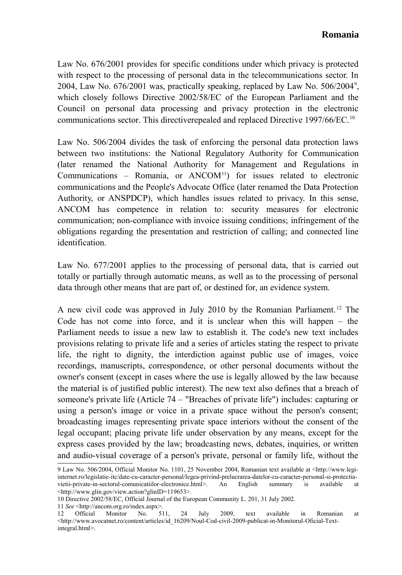Law No. 676/2001 provides for specific conditions under which privacy is protected with respect to the processing of personal data in the telecommunications sector. In 2004, Law No. 676/2001 was, practically speaking, replaced by Law No.  $506/2004^9$  $506/2004^9$ , which closely follows Directive 2002/58/EC of the European Parliament and the Council on personal data processing and privacy protection in the electronic communications sector. This directiverepealed and replaced Directive 1997/66/EC.[10](#page-2-1)

Law No. 506/2004 divides the task of enforcing the personal data protection laws between two institutions: the National Regulatory Authority for Communication (later renamed the National Authority for Management and Regulations in Communications - Romania, or ANCOM<sup>[11](#page-2-2)</sup>) for issues related to electronic communications and the People's Advocate Office (later renamed the Data Protection Authority, or ANSPDCP), which handles issues related to privacy. In this sense, ANCOM has competence in relation to: security measures for electronic communication; non-compliance with invoice issuing conditions; infringement of the obligations regarding the presentation and restriction of calling; and connected line identification.

Law No. 677/2001 applies to the processing of personal data, that is carried out totally or partially through automatic means, as well as to the processing of personal data through other means that are part of, or destined for, an evidence system.

A new civil code was approved in July 2010 by the Romanian Parliament. [12](#page-2-3) The Code has not come into force, and it is unclear when this will happen – the Parliament needs to issue a new law to establish it. The code's new text includes provisions relating to private life and a series of articles stating the respect to private life, the right to dignity, the interdiction against public use of images, voice recordings, manuscripts, correspondence, or other personal documents without the owner's consent (except in cases where the use is legally allowed by the law because the material is of justified public interest). The new text also defines that a breach of someone's private life (Article 74 – "Breaches of private life") includes: capturing or using a person's image or voice in a private space without the person's consent; broadcasting images representing private space interiors without the consent of the legal occupant; placing private life under observation by any means, except for the express cases provided by the law; broadcasting news, debates, inquiries, or written and audio-visual coverage of a person's private, personal or family life, without the

<span id="page-2-2"></span>11 *See* <http://ancom.org.ro/index.aspx>.<br>12 Official Monitor No. 511.

<span id="page-2-0"></span><sup>9</sup> Law No. 506/2004, Official Monitor No. 1101, 25 November 2004, Romanian text available at <http://www.legiinternet.ro/legislatie-itc/date-cu-caracter-personal/legea-privind-prelucrarea-datelor-cu-caracter-personal-si-protectiavietii-private-in-sectorul-comunicatiilor-electronice.html>. An English summary is available at <http://www.glin.gov/view.action?glinID=119653>.

<span id="page-2-1"></span><sup>10</sup> Directive 2002/58/EC, Official Journal of the European Community L. 201, 31 July 2002.

<span id="page-2-3"></span><sup>12</sup> Official Monitor No. 511, 24 July 2009, text available in Romanian at [<http://www.avocatnet.ro/content/articles/id\\_16209/Noul-Cod-civil-2009-publicat-in-Monitorul-Oficial-Text](http://www.avocatnet.ro/content/articles/id_16209/Noul-Cod-civil-2009-publicat-in-Monitorul-Oficial-Text-integral.html)[integral.html>](http://www.avocatnet.ro/content/articles/id_16209/Noul-Cod-civil-2009-publicat-in-Monitorul-Oficial-Text-integral.html).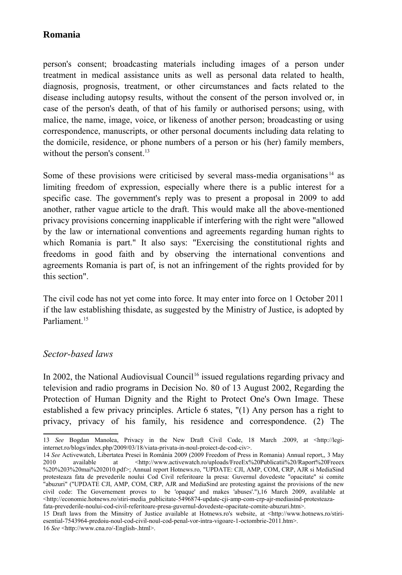person's consent; broadcasting materials including images of a person under treatment in medical assistance units as well as personal data related to health, diagnosis, prognosis, treatment, or other circumstances and facts related to the disease including autopsy results, without the consent of the person involved or, in case of the person's death, of that of his family or authorised persons; using, with malice, the name, image, voice, or likeness of another person; broadcasting or using correspondence, manuscripts, or other personal documents including data relating to the domicile, residence, or phone numbers of a person or his (her) family members, without the person's consent.<sup>[13](#page-3-0)</sup>

Some of these provisions were criticised by several mass-media organisations  $14$  as limiting freedom of expression, especially where there is a public interest for a specific case. The government's reply was to present a proposal in 2009 to add another, rather vague article to the draft. This would make all the above-mentioned privacy provisions concerning inapplicable if interfering with the right were "allowed by the law or international conventions and agreements regarding human rights to which Romania is part." It also says: "Exercising the constitutional rights and freedoms in good faith and by observing the international conventions and agreements Romania is part of, is not an infringement of the rights provided for by this section".

The civil code has not yet come into force. It may enter into force on 1 October 2011 if the law establishing thisdate, as suggested by the Ministry of Justice, is adopted by Parliament<sup>[15](#page-3-2)</sup>

#### *Sector-based laws*

In 2002, the National Audiovisual Council<sup>[16](#page-3-3)</sup> issued regulations regarding privacy and television and radio programs in Decision No. 80 of 13 August 2002, Regarding the Protection of Human Dignity and the Right to Protect One's Own Image. These established a few privacy principles. Article 6 states, "(1) Any person has a right to privacy, privacy of his family, his residence and correspondence. (2) The

<span id="page-3-0"></span><sup>13</sup> *See* Bogdan Manolea, Privacy in the New Draft Civil Code, 18 March .2009, at <http://legiinternet.ro/blogs/index.php/2009/03/18/viata-privata-in-noul-proiect-de-cod-civ>.

<span id="page-3-1"></span><sup>14</sup> *See* Activewatch, Libertatea Presei în România 2009 (2009 Freedom of Press in Romania) Annual report,, 3 May 2010 available at [<http://www.activewatch.ro/uploads/FreeEx%20Publicatii%20/Raport%20Freeex](http://www.activewatch.ro/uploads/FreeEx%20Publicatii%20/Raport%20Freeex%20%203%20mai%202010.pdf) [%20%203%20mai%202010.pdf>](http://www.activewatch.ro/uploads/FreeEx%20Publicatii%20/Raport%20Freeex%20%203%20mai%202010.pdf); Annual report Hotnews.ro, "UPDATE: CJI, AMP, COM, CRP, AJR si MediaSind protesteaza fata de prevederile noului Cod Civil referitoare la presa: Guvernul dovedeste "opacitate" si comite "abuzuri" ("UPDATE CJI, AMP, COM, CRP, AJR and MediaSind are protesting against the provisions of the new civil code: The Governement proves to be 'opaque' and makes 'abuses'."),16 March 2009, avalilable at <http://economie.hotnews.ro/stiri-media\_publicitate-5496874-update-cji-amp-com-crp-ajr-mediasind-protesteazafata-prevederile-noului-cod-civil-referitoare-presa-guvernul-dovedeste-opacitate-comite-abuzuri.htm>.

<span id="page-3-3"></span><span id="page-3-2"></span><sup>15</sup> Draft laws from the Minsitry of Justice available at Hotnews.ro's website, at <http://www.hotnews.ro/stiriesential-7543964-predoiu-noul-cod-civil-noul-cod-penal-vor-intra-vigoare-1-octombrie-2011.htm>. 16 *See* <http://www.cna.ro/-English-.html>.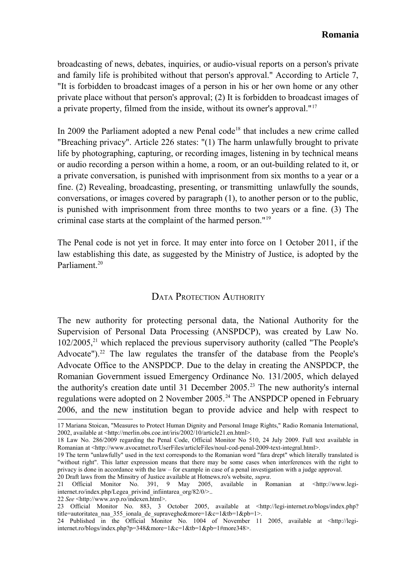broadcasting of news, debates, inquiries, or audio-visual reports on a person's private and family life is prohibited without that person's approval." According to Article 7, "It is forbidden to broadcast images of a person in his or her own home or any other private place without that person's approval; (2) It is forbidden to broadcast images of a private property, filmed from the inside, without its owner's approval."[17](#page-4-0)

In 2009 the Parliament adopted a new Penal code<sup>[18](#page-4-1)</sup> that includes a new crime called "Breaching privacy". Article 226 states: "(1) The harm unlawfully brought to private life by photographing, capturing, or recording images, listening in by technical means or audio recording a person within a home, a room, or an out-building related to it, or a private conversation, is punished with imprisonment from six months to a year or a fine. (2) Revealing, broadcasting, presenting, or transmitting unlawfully the sounds, conversations, or images covered by paragraph (1), to another person or to the public, is punished with imprisonment from three months to two years or a fine. (3) The criminal case starts at the complaint of the harmed person."[19](#page-4-2)

The Penal code is not yet in force. It may enter into force on 1 October 2011, if the law establishing this date, as suggested by the Ministry of Justice, is adopted by the Parliament<sup>[20](#page-4-3)</sup>

### DATA PROTECTION AUTHORITY

The new authority for protecting personal data, the National Authority for the Supervision of Personal Data Processing (ANSPDCP), was created by Law No.  $102/2005$ <sup>[21](#page-4-4)</sup> which replaced the previous supervisory authority (called "The People's Advocate").<sup>[22](#page-4-5)</sup> The law regulates the transfer of the database from the People's Advocate Office to the ANSPDCP. Due to the delay in creating the ANSPDCP, the Romanian Government issued Emergency Ordinance No. 131/2005, which delayed the authority's creation date until 31 December 2005.<sup>[23](#page-4-6)</sup> The new authority's internal regulations were adopted on 2 November 2005.<sup>[24](#page-4-7)</sup> The ANSPDCP opened in February 2006, and the new institution began to provide advice and help with respect to

<span id="page-4-0"></span><sup>17</sup> Mariana Stoican, "Measures to Protect Human Dignity and Personal Image Rights," Radio Romania International, 2002, available at <http://merlin.obs.coe.int/iris/2002/10/article21.en.html>.

<span id="page-4-1"></span><sup>18</sup> Law No. 286/2009 regarding the Penal Code, Official Monitor No 510, 24 July 2009. Full text available in Romanian at <http://www.avocatnet.ro/UserFiles/articleFiles/noul-cod-penal-2009-text-integral.html>.

<span id="page-4-2"></span><sup>19</sup> The term "unlawfully" used in the text corresponds to the Romanian word "fara drept" which literally translated is "without right". This latter expression means that there may be some cases when interferences with the right to privacy is done in accordance with the law – for example in case of a penal investigation with a judge approval. 20 Draft laws from the Minsitry of Justice available at Hotnews.ro's website, *supra*.

<span id="page-4-4"></span><span id="page-4-3"></span><sup>21</sup> Official Monitor No. 391, 9 May 2005, available in Romanian at <http://www.legiinternet.ro/index.php/Legea\_privind\_infiintarea\_org/82/0/>..

<span id="page-4-5"></span><sup>22</sup> *See* <http://www.avp.ro/indexen.html>.

<span id="page-4-6"></span><sup>23</sup> Official Monitor No. 883, 3 October 2005, available at <http://legi-internet.ro/blogs/index.php? title=autoritatea\_naa\_355\_ionala\_de\_supraveghe&more=1&c=1&tb=1&pb=1>.

<span id="page-4-7"></span><sup>24</sup> Published in the Official Monitor No. 1004 of November 11 2005, available at <http://legiinternet.ro/blogs/index.php?p=348&more=1&c=1&tb=1&pb=1#more348>.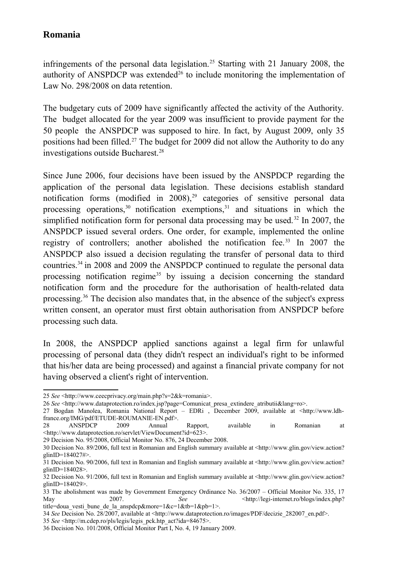infringements of the personal data legislation.<sup>[25](#page-5-0)</sup> Starting with 21 January 2008, the authority of ANSPDCP was extended<sup>[26](#page-5-1)</sup> to include monitoring the implementation of Law No. 298/2008 on data retention.

The budgetary cuts of 2009 have significantly affected the activity of the Authority. The budget allocated for the year 2009 was insufficient to provide payment for the 50 people the ANSPDCP was supposed to hire. In fact, by August 2009, only 35 positions had been filled.[27](#page-5-2) The budget for 2009 did not allow the Authority to do any investigations outside Bucharest.<sup>[28](#page-5-3)</sup>

Since June 2006, four decisions have been issued by the ANSPDCP regarding the application of the personal data legislation. These decisions establish standard notification forms (modified in  $2008$ ),<sup>[29](#page-5-4)</sup> categories of sensitive personal data processing operations,  $30$  notification exemptions,  $31$  and situations in which the simplified notification form for personal data processing may be used.<sup>[32](#page-5-7)</sup> In 2007, the ANSPDCP issued several orders. One order, for example, implemented the online registry of controllers; another abolished the notification fee.<sup>[33](#page-5-8)</sup> In 2007 the ANSPDCP also issued a decision regulating the transfer of personal data to third countries.[34](#page-5-9) in 2008 and 2009 the ANSPDCP continued to regulate the personal data processing notification regime<sup>[35](#page-5-10)</sup> by issuing a decision concerning the standard notification form and the procedure for the authorisation of health-related data processing.[36](#page-5-11) The decision also mandates that, in the absence of the subject's express written consent, an operator must first obtain authorisation from ANSPDCP before processing such data.

In 2008, the ANSPDCP applied sanctions against a legal firm for unlawful processing of personal data (they didn't respect an individual's right to be informed that his/her data are being processed) and against a financial private company for not having observed a client's right of intervention.

<span id="page-5-0"></span><sup>25</sup> *See* <http://www.ceecprivacy.org/main.php?s=2&k=romania>.

<span id="page-5-1"></span><sup>26</sup> *See* <http://www.dataprotection.ro/index.jsp?page=Comunicat\_presa\_extindere\_atributii&lang=ro>.

<span id="page-5-2"></span><sup>27</sup> Bogdan Manolea, Romania National Report – EDRi , December 2009, available at <http://www.ldhfrance.org/IMG/pdf/ETUDE-ROUMANIE-EN.pdf>.

<span id="page-5-3"></span><sup>28</sup> ANSPDCP 2009 Annual Rapport, available in Romanian at <http://www.dataprotection.ro/servlet/ViewDocument?id=623>.

<span id="page-5-4"></span><sup>29</sup> Decision No. 95/2008, Official Monitor No. 876, 24 December 2008.

<span id="page-5-5"></span><sup>30</sup> Decision No. 89/2006, full text in Romanian and English summary available at <http://www.glin.gov/view.action? glinID=184027#>.

<span id="page-5-6"></span><sup>31</sup> Decision No. 90/2006, full text in Romanian and English summary available at <http://www.glin.gov/view.action? glinID=184028>.

<span id="page-5-7"></span><sup>32</sup> Decision No. 91/2006, full text in Romanian and English summary available at <http://www.glin.gov/view.action? glinID=184029>.

<span id="page-5-8"></span><sup>33</sup> The abolishment was made by Government Emergency Ordinance No. 36/2007 – Official Monitor No. 335, 17<br>May  $2007$ . See  $\frac{See}{\text{http://legi-internet.no/blogs/index.bho?}}$ May 2007. See <http://legi-internet.ro/blogs/index.php? title=doua\_vesti\_bune\_de\_la\_anspdcp&more=1&c=1&tb=1&pb=1>.

<span id="page-5-9"></span><sup>34</sup> *See* Decision No. 28/2007, available at <http://www.dataprotection.ro/images/PDF/decizie\_282007\_en.pdf>.

<span id="page-5-10"></span><sup>35</sup> *See* <http://m.cdep.ro/pls/legis/legis\_pck.htp\_act?ida=84675>.

<span id="page-5-11"></span><sup>36</sup> Decision No. 101/2008, Official Monitor Part I, No. 4, 19 January 2009.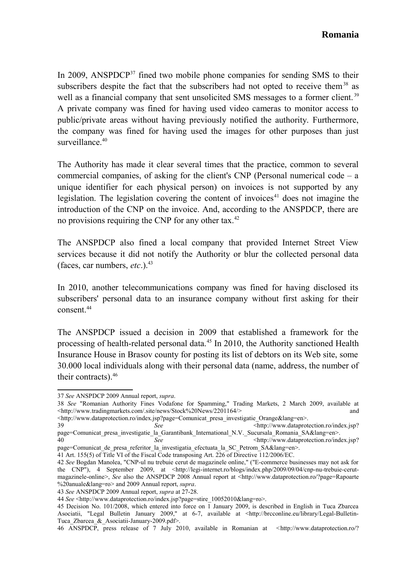In 2009, ANSPDCP $37$  fined two mobile phone companies for sending SMS to their subscribers despite the fact that the subscribers had not opted to receive them<sup>[38](#page-6-1)</sup> as well as a financial company that sent unsolicited SMS messages to a former client.<sup>[39](#page-6-2)</sup> A private company was fined for having used video cameras to monitor access to public/private areas without having previously notified the authority. Furthermore, the company was fined for having used the images for other purposes than just surveillance $40$ 

The Authority has made it clear several times that the practice, common to several commercial companies, of asking for the client's CNP (Personal numerical code  $-$  a unique identifier for each physical person) on invoices is not supported by any legislation. The legislation covering the content of invoices<sup>[41](#page-6-4)</sup> does not imagine the introduction of the CNP on the invoice. And, according to the ANSPDCP, there are no provisions requiring the CNP for any other tax.<sup>[42](#page-6-5)</sup>

The ANSPDCP also fined a local company that provided Internet Street View services because it did not notify the Authority or blur the collected personal data (faces, car numbers,  $etc.$ ).<sup>[43](#page-6-6)</sup>

In 2010, another telecommunications company was fined for having disclosed its subscribers' personal data to an insurance company without first asking for their consent.<sup>[44](#page-6-7)</sup>

The ANSPDCP issued a decision in 2009 that established a framework for the processing of health-related personal data. $45$  In 2010, the Authority sanctioned Health Insurance House in Brasov county for posting its list of debtors on its Web site, some 30.000 local individuals along with their personal data (name, address, the number of their contracts).[46](#page-6-9)

<span id="page-6-2"></span><http://www.dataprotection.ro/index.jsp?page=Comunicat\_presa\_investigatie\_Orange&lang=en>. 39 *See* <http://www.dataprotection.ro/index.jsp?

<span id="page-6-0"></span><sup>37</sup> *See* ANSPDCP 2009 Annual report, *supra*.

<span id="page-6-1"></span><sup>38</sup> *See* "Romanian Authority Fines Vodafone for Spamming," Trading Markets, 2 March 2009, available at  $\langle$ http://www.tradingmarkets.com/.site/news/Stock%20News/2201164/> and

page=Comunicat\_presa\_investigatie\_la\_Garantibank\_International\_N.V. Sucursala Romania SA&lang=en>.

<span id="page-6-3"></span><sup>40</sup> *See See See* Sharp://www.dataprotection.ro/index.jsp? page=Comunicat\_de\_presa\_referitor\_la\_investigatia\_efectuata\_la\_SC\_Petrom\_SA&lang=en>.

<span id="page-6-4"></span><sup>41</sup> Art. 155(5) of Title VI of the Fiscal Code transposing Art. 226 of Directive 112/2006/EC.

<span id="page-6-5"></span><sup>42</sup> *See* Bogdan Manolea, "CNP-ul nu trebuie cerut de magazinele online," ("E-commerce businesses may not ask for the CNP"), 4 September 2009, at [<http://legi-internet.ro/blogs/index.php/2009/09/04/cnp-nu-trebuie-cerut](http://legi-internet.ro/blogs/index.php/2009/09/04/cnp-nu-trebuie-cerut-magazinele-online)[magazinele-online>](http://legi-internet.ro/blogs/index.php/2009/09/04/cnp-nu-trebuie-cerut-magazinele-online), *See* also the ANSPDCP 2008 Annual report at [<http://www.dataprotection.ro/?page=Rapoarte](http://www.dataprotection.ro/?page=Rapoarte%20anuale&lang=ro) [%20anuale&lang=ro>](http://www.dataprotection.ro/?page=Rapoarte%20anuale&lang=ro) and 2009 Annual report, *supra*.

<span id="page-6-6"></span><sup>43</sup> *See* ANSPDCP 2009 Annual report, *supra* at 27-28.

<span id="page-6-7"></span><sup>44</sup> *See* <http://www.dataprotection.ro/index.jsp?page=stire\_10052010&lang=ro>.

<span id="page-6-8"></span><sup>45</sup> Decision No. 101/2008, which entered into force on 1 January 2009, is described in English in Tuca Zbarcea Asociatii, "Legal Bulletin January 2009," at 6-7, available at <http://brcconline.eu/library/Legal-Bulletin-Tuca\_Zbarcea\_&\_Asociatii-January-2009.pdf>.

<span id="page-6-9"></span><sup>46</sup> ANSPDCP, press release of 7 July 2010, available in Romanian at <[http://www.dataprotection.ro/?](http://www.dataprotection.ro/?page=stire_03072010&lang=ro)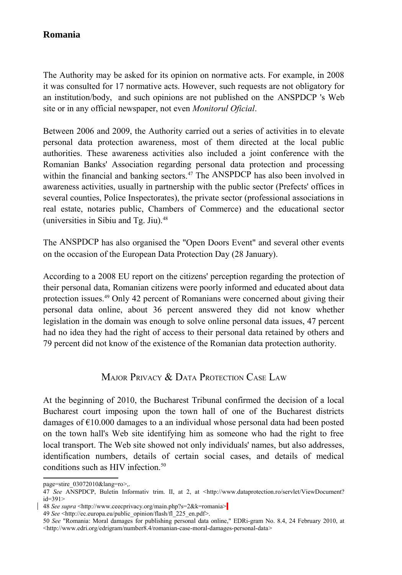The Authority may be asked for its opinion on normative acts. For example, in 2008 it was consulted for 17 normative acts. However, such requests are not obligatory for an institution/body, and such opinions are not published on the ANSPDCP 's Web site or in any official newspaper, not even *Monitorul Oficial*.

Between 2006 and 2009, the Authority carried out a series of activities in to elevate personal data protection awareness, most of them directed at the local public authorities. These awareness activities also included a joint conference with the Romanian Banks' Association regarding personal data protection and processing within the financial and banking sectors.<sup>[47](#page-7-0)</sup> The ANSPDCP has also been involved in awareness activities, usually in partnership with the public sector (Prefects' offices in several counties, Police Inspectorates), the private sector (professional associations in real estate, notaries public, Chambers of Commerce) and the educational sector (universities in Sibiu and Tg. Jiu).[48](#page-7-1)

The ANSPDCP has also organised the "Open Doors Event" and several other events on the occasion of the European Data Protection Day (28 January).

According to a 2008 EU report on the citizens' perception regarding the protection of their personal data, Romanian citizens were poorly informed and educated about data protection issues.[49](#page-7-2) Only 42 percent of Romanians were concerned about giving their personal data online, about 36 percent answered they did not know whether legislation in the domain was enough to solve online personal data issues, 47 percent had no idea they had the right of access to their personal data retained by others and 79 percent did not know of the existence of the Romanian data protection authority.

### MAJOR PRIVACY & DATA PROTECTION CASE LAW

At the beginning of 2010, the Bucharest Tribunal confirmed the decision of a local Bucharest court imposing upon the town hall of one of the Bucharest districts damages of  $\epsilon$ 10.000 damages to a an individual whose personal data had been posted on the town hall's Web site identifying him as someone who had the right to free local transport. The Web site showed not only individuals' names, but also addresses, identification numbers, details of certain social cases, and details of medical conditions such as HIV infection.<sup>[50](#page-7-3)</sup>

[page=stire\\_03072010&lang=ro>](http://www.dataprotection.ro/?page=stire_03072010&lang=ro),.

<span id="page-7-0"></span><sup>47</sup> *See* ANSPDCP, Buletin Informativ trim. II, at 2, at [<http://www.dataprotection.ro/servlet/ViewDocument?](http://www.dataprotection.ro/servlet/ViewDocument?id=391) [id=391>](http://www.dataprotection.ro/servlet/ViewDocument?id=391)

<span id="page-7-1"></span><sup>48</sup> *See supra* <http://www.ceecprivacy.org/main.php?s=2&k=romania>

<span id="page-7-2"></span><sup>49</sup> *See* [<http://ec.europa.eu/public\\_opinion/flash/fl\\_225\\_en.pdf>](http://ec.europa.eu/public_opinion/flash/fl_225_en.pdf).

<span id="page-7-3"></span><sup>50</sup> *See* "Romania: Moral damages for publishing personal data online," EDRi-gram No. 8.4, 24 February 2010, at [<http://www.edri.org/edrigram/number8.4/romanian-case-moral-damages-personal-data>](http://www.edri.org/edrigram/number8.4/romanian-case-moral-damages-personal-data)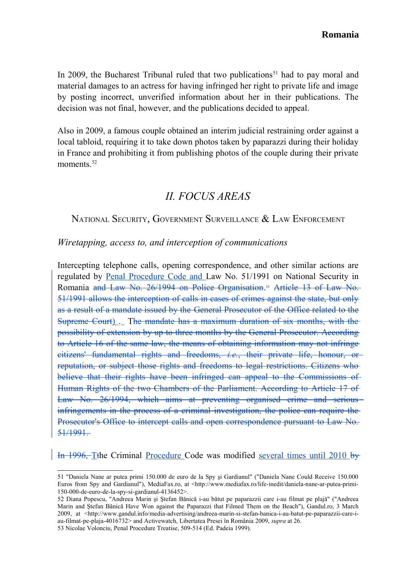In 2009, the Bucharest Tribunal ruled that two publications<sup>[51](#page-8-0)</sup> had to pay moral and material damages to an actress for having infringed her right to private life and image by posting incorrect, unverified information about her in their publications. The decision was not final, however, and the publications decided to appeal.

Also in 2009, a famous couple obtained an interim judicial restraining order against a local tabloid, requiring it to take down photos taken by paparazzi during their holiday in France and prohibiting it from publishing photos of the couple during their private moments $52$ 

## *II. FOCUS AREAS*

#### NATIONAL SECURITY, GOVERNMENT SURVEILLANCE & LAW ENFORCEMENT

#### *Wiretapping, access to, and interception of communications*

Intercepting telephone calls, opening correspondence, and other similar actions are regulated by Penal Procedure Code and Law No. 51/1991 on National Security in Romania and Law No. 26/1994 on Police Organisation.<sup>[53](#page-8-2)</sup> Article 13 of Law No. 51/1991 allows the interception of calls in cases of crimes against the state, but only as a result of a mandate issued by the General Prosecutor of the Office related to the Supreme Court) . The mandate has a maximum duration of six months, with the possibility of extension by up to three months by the General Prosecutor. According to Article 16 of the same law, the means of obtaining information may not infringe citizens' fundamental rights and freedoms, *i.e.*, their private life, honour, or reputation, or subject those rights and freedoms to legal restrictions. Citizens who believe that their rights have been infringed can appeal to the Commissions of Human Rights of the two Chambers of the Parliament. According to Article 17 of Law No. 26/1994, which aims at preventing organised crime and serious infringements in the process of a criminal investigation, the police can require the Prosecutor's Office to intercept calls and open correspondence pursuant to Law No. 51/1991.

 $\left| \right|$  In 1996, Tthe Criminal Procedure Code was modified several times until 2010 by

<span id="page-8-0"></span><sup>51 &</sup>quot;Daniela Nane ar putea primi 150.000 de euro de la Spy şi Gardianul" ("Daniela Nane Could Receive 150.000 Euros from Spy and Gardianul"), MediaFax.ro, at <http://www.mediafax.ro/life-inedit/daniela-nane-ar-putea-primi-150-000-de-euro-de-la-spy-si-gardianul-4136452>.

<span id="page-8-1"></span><sup>52</sup> Diana Popescu, "Andreea Marin şi Ştefan Bănică i-au bătut pe paparazzii care i-au filmat pe plajă" ("Andreea Marin and Ştefan Bănică Have Won against the Paparazzi that Filmed Them on the Beach"), Gandul.ro, 3 March 2009, at [<http://www.gandul.info/media-advertising/andreea-marin-si-stefan-banica-i-au-batut-pe-paparazzii-care-i](http://www.gandul.info/media-advertising/andreea-marin-si-stefan-banica-i-au-batut-pe-paparazzii-care-i-au-filmat-pe-plaja-4016732)[au-filmat-pe-plaja-4016732>](http://www.gandul.info/media-advertising/andreea-marin-si-stefan-banica-i-au-batut-pe-paparazzii-care-i-au-filmat-pe-plaja-4016732) and Activewatch, Libertatea Presei în România 2009, *supra* at 26.

<span id="page-8-2"></span><sup>53</sup> Nicolae Volonciu, Penal Procedure Treatise, 509-514 (Ed. Padeia 1999).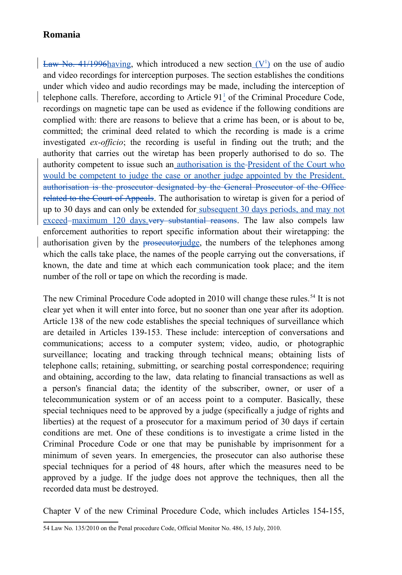Law No. 41/1996 having, which introduced a new section  $(V<sup>1</sup>)$  on the use of audio and video recordings for interception purposes. The section establishes the conditions under which video and audio recordings may be made, including the interception of telephone calls. Therefore, according to Article 91<sup>1</sup> of the Criminal Procedure Code, recordings on magnetic tape can be used as evidence if the following conditions are complied with: there are reasons to believe that a crime has been, or is about to be, committed; the criminal deed related to which the recording is made is a crime investigated *ex-officio*; the recording is useful in finding out the truth; and the authority that carries out the wiretap has been properly authorised to do so. The authority competent to issue such an authorisation is the President of the Court who would be competent to judge the case or another judge appointed by the President. authorisation is the prosecutor designated by the General Prosecutor of the Office related to the Court of Appeals. The authorisation to wiretap is given for a period of up to 30 days and can only be extended for subsequent 30 days periods, and may not exceed-maximum 120 days. very substantial reasons. The law also compels law enforcement authorities to report specific information about their wiretapping: the authorisation given by the prosecutorjudge, the numbers of the telephones among which the calls take place, the names of the people carrying out the conversations, if known, the date and time at which each communication took place; and the item number of the roll or tape on which the recording is made.

The new Criminal Procedure Code adopted in 2010 will change these rules.<sup>[54](#page-9-0)</sup> It is not clear yet when it will enter into force, but no sooner than one year after its adoption. Article 138 of the new code establishes the special techniques of surveillance which are detailed in Articles 139-153. These include: interception of conversations and communications; access to a computer system; video, audio, or photographic surveillance; locating and tracking through technical means; obtaining lists of telephone calls; retaining, submitting, or searching postal correspondence; requiring and obtaining, according to the law, data relating to financial transactions as well as a person's financial data; the identity of the subscriber, owner, or user of a telecommunication system or of an access point to a computer. Basically, these special techniques need to be approved by a judge (specifically a judge of rights and liberties) at the request of a prosecutor for a maximum period of 30 days if certain conditions are met. One of these conditions is to investigate a crime listed in the Criminal Procedure Code or one that may be punishable by imprisonment for a minimum of seven years. In emergencies, the prosecutor can also authorise these special techniques for a period of 48 hours, after which the measures need to be approved by a judge. If the judge does not approve the techniques, then all the recorded data must be destroyed.

Chapter V of the new Criminal Procedure Code, which includes Articles 154-155,

<span id="page-9-0"></span><sup>54</sup> Law No. 135/2010 on the Penal procedure Code, Official Monitor No. 486, 15 July, 2010.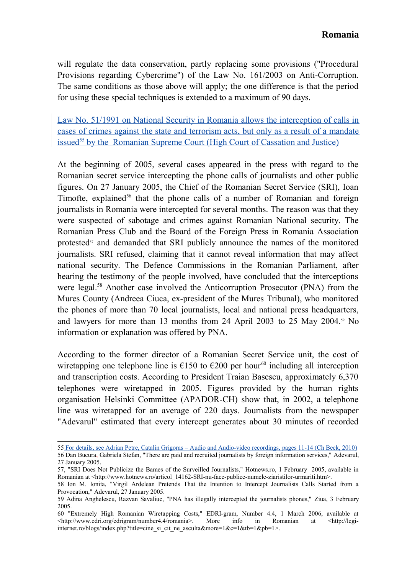will regulate the data conservation, partly replacing some provisions ("Procedural Provisions regarding Cybercrime") of the Law No. 161/2003 on Anti-Corruption. The same conditions as those above will apply; the one difference is that the period for using these special techniques is extended to a maximum of 90 days.

Law No. 51/1991 on National Security in Romania allows the interception of calls in cases of crimes against the state and terrorism acts, but only as a result of a mandate issued<sup>55</sup>by the Romanian Supreme Court (High Court of Cassation and Justice)

At the beginning of 2005, several cases appeared in the press with regard to the Romanian secret service intercepting the phone calls of journalists and other public figures. On 27 January 2005, the Chief of the Romanian Secret Service (SRI), Ioan Timofte, explained<sup>[56](#page-10-1)</sup> that the phone calls of a number of Romanian and foreign journalists in Romania were intercepted for several months. The reason was that they were suspected of sabotage and crimes against Romanian National security. The Romanian Press Club and the Board of the Foreign Press in Romania Association protested $57$  and demanded that SRI publicly announce the names of the monitored journalists. SRI refused, claiming that it cannot reveal information that may affect national security. The Defence Commissions in the Romanian Parliament, after hearing the testimony of the people involved, have concluded that the interceptions were legal.<sup>[58](#page-10-3)</sup> Another case involved the Anticorruption Prosecutor (PNA) from the Mures County (Andreea Ciuca, ex-president of the Mures Tribunal), who monitored the phones of more than 70 local journalists, local and national press headquarters, and lawyers for more than 13 months from 24 April 2003 to 25 May 2004.<sup>[59](#page-10-4)</sup> No information or explanation was offered by PNA.

According to the former director of a Romanian Secret Service unit, the cost of wiretapping one telephone line is  $\epsilon$ 150 to  $\epsilon$ 200 per hour<sup>[60](#page-10-5)</sup> including all interception and transcription costs. According to President Traian Basescu, approximately 6,370 telephones were wiretapped in 2005. Figures provided by the human rights organisation Helsinki Committee (APADOR-CH) show that, in 2002, a telephone line was wiretapped for an average of 220 days. Journalists from the newspaper "Adevarul" estimated that every intercept generates about 30 minutes of recorded

<span id="page-10-1"></span><span id="page-10-0"></span><sup>55</sup> For details, see Adrian Petre, Catalin Grigoras – Audio and Audio-video recordings, pages 11-14 (Ch Beck, 2010) 56 Dan Bucura, Gabriela Stefan, "There are paid and recruited journalists by foreign information services," Adevarul, 27 January 2005.

<span id="page-10-2"></span><sup>57, &</sup>quot;SRI Does Not Publicize the Bames of the Surveilled Journalists," Hotnews.ro, 1 February 2005, available in Romanian at <http://www.hotnews.ro/articol\_14162-SRI-nu-face-publice-numele-ziaristilor-urmariti.htm>.

<span id="page-10-3"></span><sup>58</sup> Ion M. Ionita, "Virgil Ardelean Pretends That the Intention to Intercept Journalists Calls Started from a Provocation," Adevarul, 27 January 2005.

<span id="page-10-4"></span><sup>59</sup> Adina Anghelescu, Razvan Savaliuc, "PNA has illegally intercepted the journalists phones," Ziua, 3 February 2005.

<span id="page-10-5"></span><sup>60 &</sup>quot;Extremely High Romanian Wiretapping Costs," EDRI-gram, Number 4.4, 1 March 2006, available at <http://www.edri.org/edrigram/number4.4/romania>. More info in Romanian at <http://legiinternet.ro/blogs/index.php?title=cine\_si\_cit\_ne\_asculta&more=1&c=1&tb=1&pb=1>.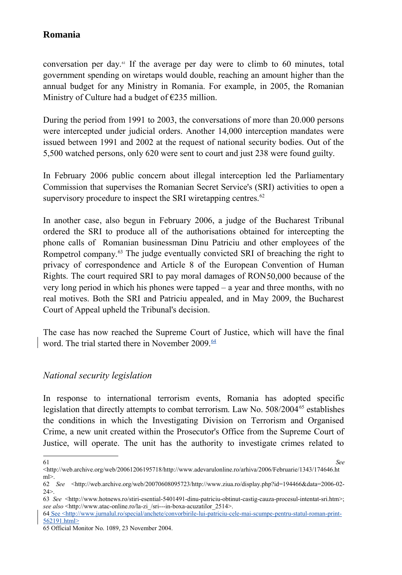conversation per day.<sup>[61](#page-11-0)</sup> If the average per day were to climb to 60 minutes, total government spending on wiretaps would double, reaching an amount higher than the annual budget for any Ministry in Romania. For example, in 2005, the Romanian Ministry of Culture had a budget of  $E$ 235 million.

During the period from 1991 to 2003, the conversations of more than 20.000 persons were intercepted under judicial orders. Another 14,000 interception mandates were issued between 1991 and 2002 at the request of national security bodies. Out of the 5,500 watched persons, only 620 were sent to court and just 238 were found guilty.

In February 2006 public concern about illegal interception led the Parliamentary Commission that supervises the Romanian Secret Service's (SRI) activities to open a supervisory procedure to inspect the SRI wiretapping centres. $62$ 

In another case, also begun in February 2006, a judge of the Bucharest Tribunal ordered the SRI to produce all of the authorisations obtained for intercepting the phone calls of Romanian businessman Dinu Patriciu and other employees of the Rompetrol company.<sup>[63](#page-11-2)</sup> The judge eventually convicted SRI of breaching the right to privacy of correspondence and Article 8 of the European Convention of Human Rights. The court required SRI to pay moral damages of RON50,000 because of the very long period in which his phones were tapped – a year and three months, with no real motives. Both the SRI and Patriciu appealed, and in May 2009, the Bucharest Court of Appeal upheld the Tribunal's decision.

The case has now reached the Supreme Court of Justice, which will have the final word. The trial started there in November 2009. $\frac{64}{64}$  $\frac{64}{64}$  $\frac{64}{64}$ 

### *National security legislation*

In response to international terrorism events, Romania has adopted specific legislation that directly attempts to combat terrorism. Law No.  $508/2004^{65}$  $508/2004^{65}$  $508/2004^{65}$  establishes the conditions in which the Investigating Division on Terrorism and Organised Crime, a new unit created within the Prosecutor's Office from the Supreme Court of Justice, will operate. The unit has the authority to investigate crimes related to

<span id="page-11-0"></span>

<sup>61</sup> *See* <http://web.archive.org/web/20061206195718/http://www.adevarulonline.ro/arhiva/2006/Februarie/1343/174646.ht ml>.

<span id="page-11-1"></span><sup>62</sup> *See* <http://web.archive.org/web/20070608095723/http://www.ziua.ro/display.php?id=194466&data=2006-02-  $24>$ 

<span id="page-11-2"></span><sup>63</sup> *See* <http://www.hotnews.ro/stiri-esential-5401491-dinu-patriciu-obtinut-castig-cauza-procesul-intentat-sri.htm>; *see also* <http://www.atac-online.ro/la-zi\_/sri---in-boxa-acuzatilor\_2514>.

<span id="page-11-3"></span><sup>64</sup> See < http://www.jurnalul.ro/special/anchete/convorbirile-lui-patriciu-cele-mai-scumpe-pentru-statul-roman-print-562191.html>

<span id="page-11-4"></span><sup>65</sup> Official Monitor No. 1089, 23 November 2004.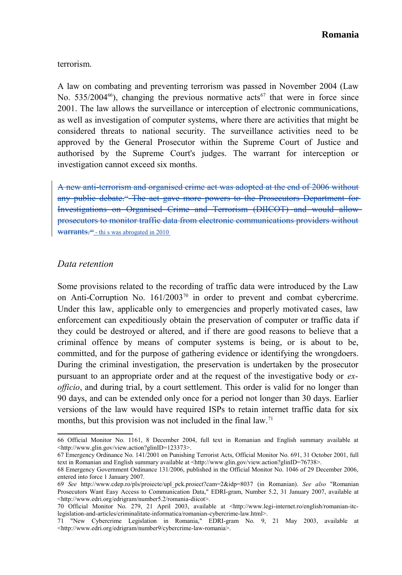terrorism.

A law on combating and preventing terrorism was passed in November 2004 (Law No. 535/2004<sup>[66](#page-12-0)</sup>), changing the previous normative acts<sup>[67](#page-12-1)</sup> that were in force since 2001. The law allows the surveillance or interception of electronic communications, as well as investigation of computer systems, where there are activities that might be considered threats to national security. The surveillance activities need to be approved by the General Prosecutor within the Supreme Court of Justice and authorised by the Supreme Court's judges. The warrant for interception or investigation cannot exceed six months.

A new anti-terrorism and organised crime act was adopted at the end of 2006 without any public debate.<sup>48</sup> The act gave more powers to the Prosecutors Department for Investigations on Organised Crime and Terrorism (DIICOT) and would allow prosecutors to monitor traffic data from electronic communications providers without Warrants.<sup>[69](#page-12-3)</sup> - thi s was abrogated in 2010

#### *Data retention*

Some provisions related to the recording of traffic data were introduced by the Law on Anti-Corruption No.  $161/2003^{70}$  $161/2003^{70}$  $161/2003^{70}$  in order to prevent and combat cybercrime. Under this law, applicable only to emergencies and properly motivated cases, law enforcement can expeditiously obtain the preservation of computer or traffic data if they could be destroyed or altered, and if there are good reasons to believe that a criminal offence by means of computer systems is being, or is about to be, committed, and for the purpose of gathering evidence or identifying the wrongdoers. During the criminal investigation, the preservation is undertaken by the prosecutor pursuant to an appropriate order and at the request of the investigative body or *exofficio*, and during trial, by a court settlement. This order is valid for no longer than 90 days, and can be extended only once for a period not longer than 30 days. Earlier versions of the law would have required ISPs to retain internet traffic data for six months, but this provision was not included in the final law.<sup>[71](#page-12-5)</sup>

<span id="page-12-0"></span><sup>66</sup> Official Monitor No. 1161, 8 December 2004, full text in Romanian and English summary available at <http://www.glin.gov/view.action?glinID=123373>.

<span id="page-12-1"></span><sup>67</sup> Emergency Ordinance No. 141/2001 on Punishing Terrorist Acts, Official Monitor No. 691, 31 October 2001, full text in Romanian and English summary available at <http://www.glin.gov/view.action?glinID=76738>.

<span id="page-12-2"></span><sup>68</sup> Emergency Government Ordinance 131/2006, published in the Official Monitor No. 1046 of 29 December 2006, entered into force 1 January 2007.

<span id="page-12-3"></span><sup>69</sup> *See* [http://www.cdep.ro/pls/proiecte/upl\\_pck.proiect?cam=2&idp=8037](http://www.cdep.ro/pls/proiecte/upl_pck.proiect?cam=2&idp=8037) (in Romanian). *See also* "Romanian Prosecutors Want Easy Access to Communication Data," EDRI-gram, Number 5.2, 31 January 2007, available at <http://www.edri.org/edrigram/number5.2/romania-diicot>.

<span id="page-12-4"></span><sup>70</sup> Official Monitor No. 279, 21 April 2003, available at <http://www.legi-internet.ro/english/romanian-itclegislation-and-articles/criminalitate-informatica/romanian-cybercrime-law.html>.

<span id="page-12-5"></span><sup>71 &</sup>quot;New Cybercrime Legislation in Romania," EDRI-gram No. 9, 21 May 2003, available at <http://www.edri.org/edrigram/number9/cybercrime-law-romania>.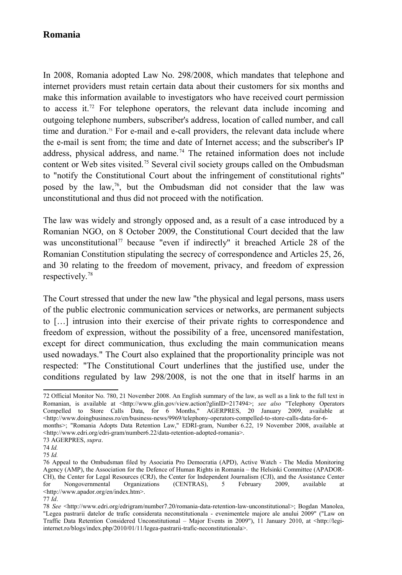In 2008, Romania adopted Law No. 298/2008, which mandates that telephone and internet providers must retain certain data about their customers for six months and make this information available to investigators who have received court permission to access it.<sup>[72](#page-13-0)</sup> For telephone operators, the relevant data include incoming and outgoing telephone numbers, subscriber's address, location of called number, and call time and duration.<sup>[73](#page-13-1)</sup> For e-mail and e-call providers, the relevant data include where the e-mail is sent from; the time and date of Internet access; and the subscriber's IP address, physical address, and name.<sup>[74](#page-13-2)</sup> The retained information does not include content or Web sites visited.[75](#page-13-3) Several civil society groups called on the Ombudsman to "notify the Constitutional Court about the infringement of constitutional rights" posed by the law,<sup>[76](#page-13-4)</sup>, but the Ombudsman did not consider that the law was unconstitutional and thus did not proceed with the notification.

The law was widely and strongly opposed and, as a result of a case introduced by a Romanian NGO, on 8 October 2009, the Constitutional Court decided that the law was unconstitutional<sup>[77](#page-13-5)</sup> because "even if indirectly" it breached Article 28 of the Romanian Constitution stipulating the secrecy of correspondence and Articles 25, 26, and 30 relating to the freedom of movement, privacy, and freedom of expression respectively.[78](#page-13-6)

The Court stressed that under the new law "the physical and legal persons, mass users of the public electronic communication services or networks, are permanent subjects to […] intrusion into their exercise of their private rights to correspondence and freedom of expression, without the possibility of a free, uncensored manifestation, except for direct communication, thus excluding the main communication means used nowadays." The Court also explained that the proportionality principle was not respected: "The Constitutional Court underlines that the justified use, under the conditions regulated by law 298/2008, is not the one that in itself harms in an

<span id="page-13-0"></span><sup>72</sup> Official Monitor No. 780, 21 November 2008. An English summary of the law, as well as a link to the full text in Romanian, is available at <http://www.glin.gov/view.action?glinID=217494>; *see also* "Telephony Operators Compelled to Store Calls Data, for 6 Months," AGERPRES, 20 January 2009, available at <http://www.doingbusiness.ro/en/business-news/9969/telephony-operators-compelled-to-store-calls-data-for-6-

months>; "Romania Adopts Data Retention Law," EDRI-gram, Number 6.22, 19 November 2008, available at <http://www.edri.org/edri-gram/number6.22/data-retention-adopted-romania>.

<span id="page-13-1"></span><sup>73</sup> AGERPRES, *supra*.

<span id="page-13-2"></span><sup>74</sup> *Id.*

<span id="page-13-3"></span><sup>75</sup> *Id.*

<span id="page-13-4"></span><sup>76</sup> Appeal to the Ombudsman filed by Asociatia Pro Democratia (APD), Active Watch - The Media Monitoring Agency (AMP), the Association for the Defence of Human Rights in Romania – the Helsinki Committee (APADOR-CH), the Center for Legal Resources (CRJ), the Center for Independent Journalism (CJI), and the Assistance Center for Nongovernmental Organizations (CENTRAS), 5 February 2009, available at <http://www.apador.org/en/index.htm>.

<span id="page-13-5"></span><sup>77</sup> *Id*.

<span id="page-13-6"></span><sup>78</sup> *See* [<http://www.edri.org/edrigram/number7.20/romania-data-retention-law-unconstitutional>](http://www.edri.org/edrigram/number7.20/romania-data-retention-law-unconstitutional); Bogdan Manolea, "Legea pastrarii datelor de trafic considerata neconstitutionala - evenimentele majore ale anului 2009" ("Law on Traffic Data Retention Considered Unconstitutional – Major Events in 2009"), 11 January 2010, at <http://legiinternet.ro/blogs/index.php/2010/01/11/legea-pastrarii-trafic-neconstitutionala>.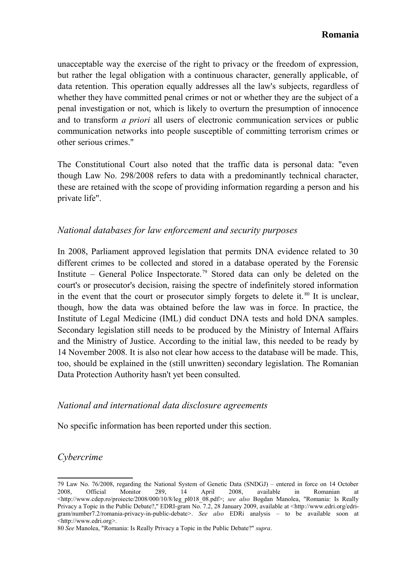unacceptable way the exercise of the right to privacy or the freedom of expression, but rather the legal obligation with a continuous character, generally applicable, of data retention. This operation equally addresses all the law's subjects, regardless of whether they have committed penal crimes or not or whether they are the subject of a penal investigation or not, which is likely to overturn the presumption of innocence and to transform *a priori* all users of electronic communication services or public communication networks into people susceptible of committing terrorism crimes or other serious crimes."

The Constitutional Court also noted that the traffic data is personal data: "even though Law No. 298/2008 refers to data with a predominantly technical character, these are retained with the scope of providing information regarding a person and his private life".

### *National databases for law enforcement and security purposes*

In 2008, Parliament approved legislation that permits DNA evidence related to 30 different crimes to be collected and stored in a database operated by the Forensic Institute – General Police Inspectorate.<sup>[79](#page-14-0)</sup> Stored data can only be deleted on the court's or prosecutor's decision, raising the spectre of indefinitely stored information in the event that the court or prosecutor simply forgets to delete it.  $80$  It is unclear, though, how the data was obtained before the law was in force. In practice, the Institute of Legal Medicine (IML) did conduct DNA tests and hold DNA samples. Secondary legislation still needs to be produced by the Ministry of Internal Affairs and the Ministry of Justice. According to the initial law, this needed to be ready by 14 November 2008. It is also not clear how access to the database will be made. This, too, should be explained in the (still unwritten) secondary legislation. The Romanian Data Protection Authority hasn't yet been consulted.

#### *National and international data disclosure agreements*

No specific information has been reported under this section.

### *Cybercrime*

<span id="page-14-0"></span><sup>79</sup> Law No. 76/2008, regarding the National System of Genetic Data (SNDGJ) – entered in force on 14 October 2008, Official Monitor 289, 14 April 2008, available in Romanian at <http://www.cdep.ro/proiecte/2008/000/10/8/leg\_pl018\_08.pdf>; *see also* Bogdan Manolea, "Romania: Is Really Privacy a Topic in the Public Debate?," EDRI-gram No. 7.2, 28 January 2009, available at [<http://www.edri.org/edri](http://www.edri.org/edri-gram/number7.2/romania-privacy-in-public-debate)[gram/number7.2/romania-privacy-in-public-debate>](http://www.edri.org/edri-gram/number7.2/romania-privacy-in-public-debate). *See also* EDRi analysis – to be available soon at <http://www.edri.org>.

<span id="page-14-1"></span><sup>80</sup> *See* Manolea, "Romania: Is Really Privacy a Topic in the Public Debate?" *supra*.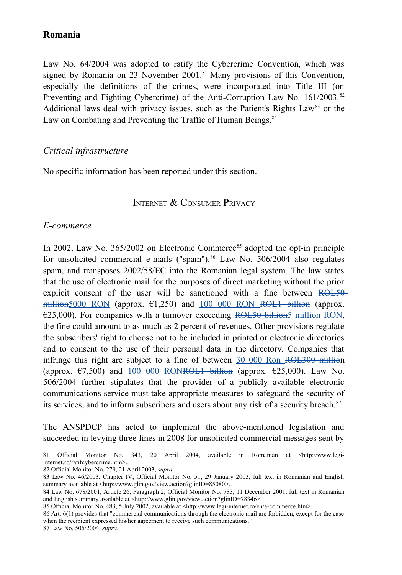Law No. 64/2004 was adopted to ratify the Cybercrime Convention, which was signed by Romania on 23 November 2001.<sup>[81](#page-15-0)</sup> Many provisions of this Convention, especially the definitions of the crimes, were incorporated into Title III (on Preventing and Fighting Cybercrime) of the Anti-Corruption Law No.  $161/2003$ .<sup>[82](#page-15-1)</sup> Additional laws deal with privacy issues, such as the Patient's Rights Law<sup>[83](#page-15-2)</sup> or the Law on Combating and Preventing the Traffic of Human Beings.<sup>[84](#page-15-3)</sup>

#### *Critical infrastructure*

No specific information has been reported under this section.

#### INTERNET & CONSUMER PRIVACY

#### *E-commerce*

In 2002, Law No.  $365/2002$  on Electronic Commerce<sup>[85](#page-15-4)</sup> adopted the opt-in principle for unsolicited commercial e-mails ("spam"). $86$  Law No. 506/2004 also regulates spam, and transposes 2002/58/EC into the Romanian legal system. The law states that the use of electronic mail for the purposes of direct marketing without the prior explicit consent of the user will be sanctioned with a fine between ROL50million5000 RON (approx.  $\epsilon$ 1,250) and 100 000 RON ROL1 billion (approx.  $E$ (25,000). For companies with a turnover exceeding ROL50 billion 5 million RON, the fine could amount to as much as 2 percent of revenues. Other provisions regulate the subscribers' right to choose not to be included in printed or electronic directories and to consent to the use of their personal data in the directory. Companies that infringe this right are subject to a fine of between 30 000 Ron ROL300 million (approx.  $\epsilon$ 7,500) and 100 000 RONROL1 billion (approx.  $\epsilon$ 25,000). Law No. 506/2004 further stipulates that the provider of a publicly available electronic communications service must take appropriate measures to safeguard the security of its services, and to inform subscribers and users about any risk of a security breach.<sup>[87](#page-15-6)</sup>

The ANSPDCP has acted to implement the above-mentioned legislation and succeeded in levying three fines in 2008 for unsolicited commercial messages sent by

<span id="page-15-1"></span>82 Official Monitor No. 279, 21 April 2003, *supra*..

<span id="page-15-6"></span>87 Law No. 506/2004, *supra*.

<span id="page-15-0"></span><sup>81</sup> Official Monitor No. 343, 20 April 2004, available in Romanian at <http://www.legiinternet.ro/ratifcybercrime.htm>..

<span id="page-15-2"></span><sup>83</sup> Law No. 46/2003, Chapter IV, Official Monitor No. 51, 29 January 2003, full text in Romanian and English summary available at [<http://www.glin.gov/view.action?glinID=85080>](http://www.glin.gov/view.action?glinID=85080)..

<span id="page-15-3"></span><sup>84</sup> Law No. 678/2001, Article 26, Paragraph 2, Official Monitor No. 783, 11 December 2001, full text in Romanian and English summary available at <http://www.glin.gov/view.action?glinID=78346>.

<span id="page-15-4"></span><sup>85</sup> Official Monitor No. 483, 5 July 2002, available at <http://www.legi-internet.ro/en/e-commerce.htm>.

<span id="page-15-5"></span><sup>86</sup> Art. 6(1) provides that "commercial communications through the electronic mail are forbidden, except for the case when the recipient expressed his/her agreement to receive such communications."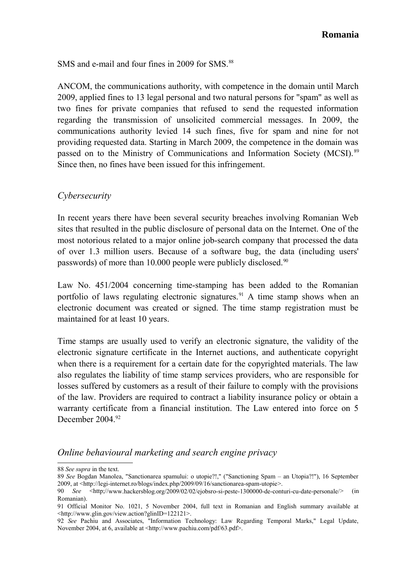SMS and e-mail and four fines in 2009 for SMS.<sup>[88](#page-16-0)</sup>

ANCOM, the communications authority, with competence in the domain until March 2009, applied fines to 13 legal personal and two natural persons for "spam" as well as two fines for private companies that refused to send the requested information regarding the transmission of unsolicited commercial messages. In 2009, the communications authority levied 14 such fines, five for spam and nine for not providing requested data. Starting in March 2009, the competence in the domain was passed on to the Ministry of Communications and Information Society (MCSI). [89](#page-16-1) Since then, no fines have been issued for this infringement.

#### *Cybersecurity*

In recent years there have been several security breaches involving Romanian Web sites that resulted in the public disclosure of personal data on the Internet. One of the most notorious related to a major online job-search company that processed the data of over 1.3 million users. Because of a software bug, the data (including users' passwords) of more than 10.000 people were publicly disclosed.<sup>[90](#page-16-2)</sup>

Law No. 451/2004 concerning time-stamping has been added to the Romanian portfolio of laws regulating electronic signatures.<sup>[91](#page-16-3)</sup> A time stamp shows when an electronic document was created or signed. The time stamp registration must be maintained for at least 10 years.

Time stamps are usually used to verify an electronic signature, the validity of the electronic signature certificate in the Internet auctions, and authenticate copyright when there is a requirement for a certain date for the copyrighted materials. The law also regulates the liability of time stamp services providers, who are responsible for losses suffered by customers as a result of their failure to comply with the provisions of the law. Providers are required to contract a liability insurance policy or obtain a warranty certificate from a financial institution. The Law entered into force on 5 December 2004<sup>[92](#page-16-4)</sup>

#### *Online behavioural marketing and search engine privacy*

<span id="page-16-0"></span><sup>88</sup> *See supra* in the text.

<span id="page-16-1"></span><sup>89</sup> *See* Bogdan Manolea, "Sanctionarea spamului: o utopie?!," ("Sanctioning Spam – an Utopia?!"), 16 September 2009, at [<http://legi-internet.ro/blogs/index.php/2009/09/16/sanctionarea-spam-utopie>](http://legi-internet.ro/blogs/index.php/2009/09/16/sanctionarea-spam-utopie).

<span id="page-16-2"></span><sup>90</sup> *See* <http;/[/www.hackersblog.org/2009/02/02/ejobsro-si-peste-1300000-de-conturi-cu-date-personale/>](http://www.hackersblog.org/2009/02/02/ejobsro-si-peste-1300000-de-conturi-cu-date-personale/) (in Romanian).

<span id="page-16-3"></span><sup>91</sup> Official Monitor No. 1021, 5 November 2004, full text in Romanian and English summary available at <http://www.glin.gov/view.action?glinID=122121>.

<span id="page-16-4"></span><sup>92</sup> *See* Pachiu and Associates, "Information Technology: Law Regarding Temporal Marks," Legal Update, November 2004, at 6, available at <http://www.pachiu.com/pdf/63.pdf>.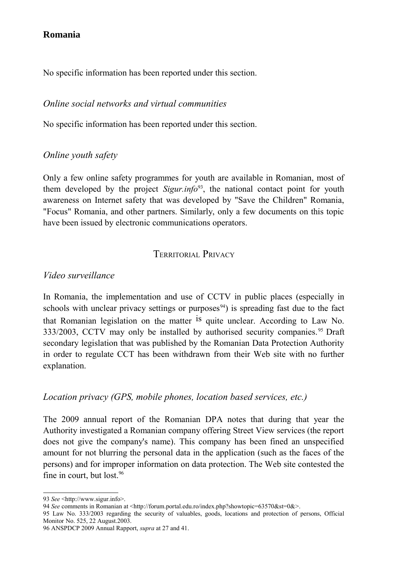No specific information has been reported under this section.

### *Online social networks and virtual communities*

No specific information has been reported under this section.

### *Online youth safety*

Only a few online safety programmes for youth are available in Romanian, most of them developed by the project *Sigur.info*[93](#page-17-0), the national contact point for youth awareness on Internet safety that was developed by "Save the Children" Romania, "Focus" Romania, and other partners. Similarly, only a few documents on this topic have been issued by electronic communications operators.

### TERRITORIAL PRIVACY

### *Video surveillance*

In Romania, the implementation and use of CCTV in public places (especially in schools with unclear privacy settings or purposes<sup>[94](#page-17-1)</sup>) is spreading fast due to the fact that Romanian legislation on the matter <sup>is</sup> quite unclear. According to Law No. 333/2003, CCTV may only be installed by authorised security companies.<sup>[95](#page-17-2)</sup> Draft secondary legislation that was published by the Romanian Data Protection Authority in order to regulate CCT has been withdrawn from their Web site with no further explanation.

### *Location privacy (GPS, mobile phones, location based services, etc.)*

The 2009 annual report of the Romanian DPA notes that during that year the Authority investigated a Romanian company offering Street View services (the report does not give the company's name). This company has been fined an unspecified amount for not blurring the personal data in the application (such as the faces of the persons) and for improper information on data protection. The Web site contested the fine in court, but lost.<sup>[96](#page-17-3)</sup>

<span id="page-17-0"></span><sup>93</sup> *See* <http://www.sigur.info>.

<span id="page-17-1"></span><sup>94</sup> *See* comments in Romanian at [<http://forum.portal.edu.ro/index.php?showtopic=63570&st=0&>](http://forum.portal.edu.ro/index.php?showtopic=63570&st=0&).

<span id="page-17-2"></span><sup>95</sup> Law No. 333/2003 regarding the security of valuables, goods, locations and protection of persons, Official Monitor No. 525, 22 August.2003.

<span id="page-17-3"></span><sup>96</sup> ANSPDCP 2009 Annual Rapport, *supra* at 27 and 41.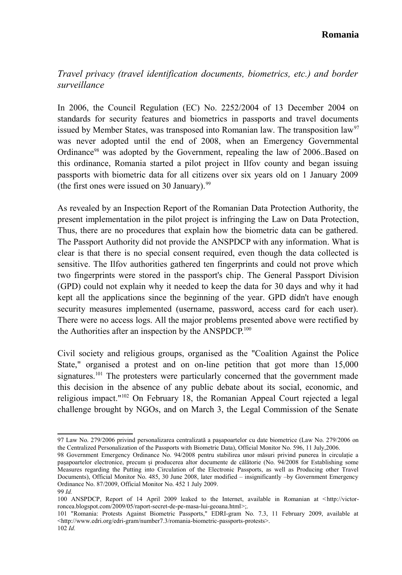### *Travel privacy (travel identification documents, biometrics, etc.) and border surveillance*

In 2006, the Council Regulation (EC) No. 2252/2004 of 13 December 2004 on standards for security features and biometrics in passports and travel documents issued by Member States, was transposed into Romanian law. The transposition law<sup>[97](#page-18-0)</sup> was never adopted until the end of 2008, when an Emergency Governmental Ordinance<sup>[98](#page-18-1)</sup> was adopted by the Government, repealing the law of 2006. Based on this ordinance, Romania started a pilot project in Ilfov county and began issuing passports with biometric data for all citizens over six years old on 1 January 2009 (the first ones were issued on 30 January). $99$ 

As revealed by an Inspection Report of the Romanian Data Protection Authority, the present implementation in the pilot project is infringing the Law on Data Protection, Thus, there are no procedures that explain how the biometric data can be gathered. The Passport Authority did not provide the ANSPDCP with any information. What is clear is that there is no special consent required, even though the data collected is sensitive. The Ilfov authorities gathered ten fingerprints and could not prove which two fingerprints were stored in the passport's chip. The General Passport Division (GPD) could not explain why it needed to keep the data for 30 days and why it had kept all the applications since the beginning of the year. GPD didn't have enough security measures implemented (username, password, access card for each user). There were no access logs. All the major problems presented above were rectified by the Authorities after an inspection by the ANSPDCP.<sup>[100](#page-18-3)</sup>

Civil society and religious groups, organised as the "Coalition Against the Police State," organised a protest and on on-line petition that got more than 15,000 signatures.<sup>[101](#page-18-4)</sup> The protesters were particularly concerned that the government made this decision in the absence of any public debate about its social, economic, and religious impact."[102](#page-18-5) On February 18, the Romanian Appeal Court rejected a legal challenge brought by NGOs, and on March 3, the Legal Commission of the Senate

<span id="page-18-0"></span><sup>97</sup> Law No. 279/2006 privind personalizarea centralizată a paşapoartelor cu date biometrice (Law No. 279/2006 on the Centralized Personalization of the Passports with Biometric Data), Official Monitor No. 596, 11 July,2006.

<span id="page-18-1"></span><sup>98</sup> Government Emergency Ordinance No. 94/2008 pentru stabilirea unor măsuri privind punerea în circulație a paşapoartelor electronice, precum şi producerea altor documente de călătorie (No. 94/2008 for Establishing some Measures regarding the Putting into Circulation of the Electronic Passports, as well as Producing other Travel Documents), Official Monitor No. 485, 30 June 2008, later modified – insignificantly –by Government Emergency Ordinance No. 87/2009, Official Monitor No. 452 1 July 2009.

<span id="page-18-2"></span><sup>99</sup> *Id.*

<span id="page-18-3"></span><sup>100</sup> ANSPDCP, Report of 14 April 2009 leaked to the Internet, available in Romanian at <[http://victor](http://victor-roncea.blogspot.com/2009/05/raport-secret-de-pe-masa-lui-geoana.html)[roncea.blogspot.com/2009/05/raport-secret-de-pe-masa-lui-geoana.html>](http://victor-roncea.blogspot.com/2009/05/raport-secret-de-pe-masa-lui-geoana.html);.

<span id="page-18-4"></span><sup>101 &</sup>quot;Romania: Protests Against Biometric Passports," EDRI-gram No. 7.3, 11 February 2009, available at <http://www.edri.org/edri-gram/number7.3/romania-biometric-passports-protests>.

<span id="page-18-5"></span><sup>102</sup> *Id.*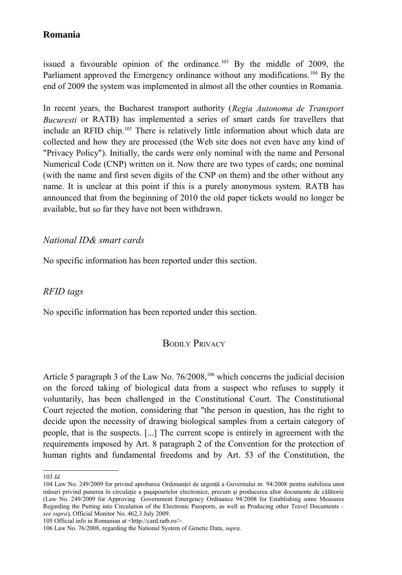issued a favourable opinion of the ordinance.<sup>[103](#page-19-0)</sup> By the middle of 2009, the Parliament approved the Emergency ordinance without any modifications.<sup>[104](#page-19-1)</sup> By the end of 2009 the system was implemented in almost all the other counties in Romania.

In recent years, the Bucharest transport authority (*Regia Autonoma de Transport Bucuresti* or RATB) has implemented a series of smart cards for travellers that include an RFID chip.[105](#page-19-2) There is relatively little information about which data are collected and how they are processed (the Web site does not even have any kind of "Privacy Policy"). Initially, the cards were only nominal with the name and Personal Numerical Code (CNP) written on it. Now there are two types of cards; one nominal (with the name and first seven digits of the CNP on them) and the other without any name. It is unclear at this point if this is a purely anonymous system. RATB has announced that from the beginning of 2010 the old paper tickets would no longer be available, but so far they have not been withdrawn.

### *National ID& smart cards*

No specific information has been reported under this section.

### *RFID tags*

No specific information has been reported under this section.

### BODILY PRIVACY

Article 5 paragraph 3 of the Law No. 76/2008,<sup>[106](#page-19-3)</sup> which concerns the judicial decision on the forced taking of biological data from a suspect who refuses to supply it voluntarily, has been challenged in the Constitutional Court. The Constitutional Court rejected the motion, considering that "the person in question, has the right to decide upon the necessity of drawing biological samples from a certain category of people, that is the suspects. [...] The current scope is entirely in agreement with the requirements imposed by Art. 8 paragraph 2 of the Convention for the protection of human rights and fundamental freedoms and by Art. 53 of the Constitution, the

<span id="page-19-2"></span>105 Official info in Romanian at <http://card.ratb.ro/>.

<span id="page-19-0"></span><sup>103</sup> *Id.*

<span id="page-19-1"></span><sup>104</sup> Law No. 249/2009 for privind aprobarea Ordonanței de urgență a Guvernului nr. 94/2008 pentru stabilirea unor măsuri privind punerea în circulație a pașapoartelor electronice, precum și producerea altor documente de călătorie (Law No. 249/2009 for Approving Government Emergency Ordinance 94/2008 for Establishing some Measures Regarding the Putting into Circulation of the Electronic Passports, as well as Producing other Travel Documents – *see supra*), Official Monitor No. 462,3 July 2009.

<span id="page-19-3"></span><sup>106</sup> Law No. 76/2008, regarding the National System of Genetic Data, *supra*.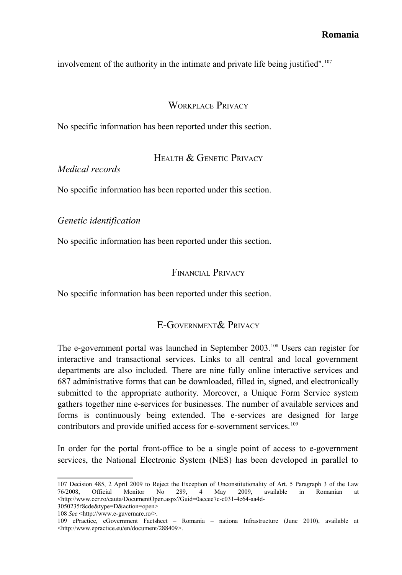involvement of the authority in the intimate and private life being justified".<sup>[107](#page-20-0)</sup>

#### WORKPLACE PRIVACY

No specific information has been reported under this section.

HEALTH & GENETIC PRIVACY

*Medical records*

No specific information has been reported under this section.

*Genetic identification*

No specific information has been reported under this section.

#### FINANCIAL PRIVACY

No specific information has been reported under this section.

### E-GOVERNMENT& PRIVACY

The e-government portal was launched in September 2003.<sup>[108](#page-20-1)</sup> Users can register for interactive and transactional services. Links to all central and local government departments are also included. There are nine fully online interactive services and 687 administrative forms that can be downloaded, filled in, signed, and electronically submitted to the appropriate authority. Moreover, a Unique Form Service system gathers together nine e-services for businesses. The number of available services and forms is continuously being extended. The e-services are designed for large contributors and provide unified access for e-sovernment services.<sup>[109](#page-20-2)</sup>

In order for the portal front-office to be a single point of access to e-government services, the National Electronic System (NES) has been developed in parallel to

<span id="page-20-0"></span><sup>107</sup> Decision 485, 2 April 2009 to Reject the Exception of Unconstitutionality of Art. 5 Paragraph 3 of the Law 76/2008, Official Monitor No 289, 4 May 2009, available in Romanian at <http://www.ccr.ro/cauta/DocumentOpen.aspx?Guid=0accee7c-c031-4c64-aa4d-

<span id="page-20-1"></span><sup>3050235</sup>f8cde&type=D&action=open> 108 *See* <http://www.e-guvernare.ro/>.

<span id="page-20-2"></span><sup>109</sup> ePractice, eGovernment Factsheet – Romania – nationa Infrastructure (June 2010), available at <http://www.epractice.eu/en/document/288409>.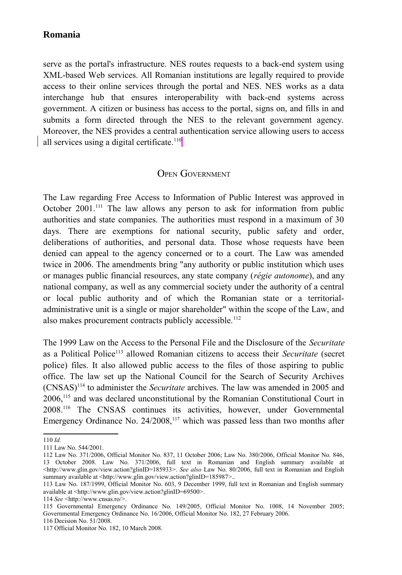serve as the portal's infrastructure. NES routes requests to a back-end system using XML-based Web services. All Romanian institutions are legally required to provide access to their online services through the portal and NES. NES works as a data interchange hub that ensures interoperability with back-end systems across government. A citizen or business has access to the portal, signs on, and fills in and submits a form directed through the NES to the relevant government agency. Moreover, the NES provides a central authentication service allowing users to access all services using a digital certificate.<sup>[110](#page-21-0)</sup>

#### OPEN GOVERNMENT

The Law regarding Free Access to Information of Public Interest was approved in October  $2001$ .<sup>[111](#page-21-1)</sup> The law allows any person to ask for information from public authorities and state companies. The authorities must respond in a maximum of 30 days. There are exemptions for national security, public safety and order, deliberations of authorities, and personal data. Those whose requests have been denied can appeal to the agency concerned or to a court. The Law was amended twice in 2006. The amendments bring "any authority or public institution which uses or manages public financial resources, any state company (*régie autonome*), and any national company, as well as any commercial society under the authority of a central or local public authority and of which the Romanian state or a territorialadministrative unit is a single or major shareholder" within the scope of the Law, and also makes procurement contracts publicly accessible.<sup>[112](#page-21-2)</sup>

The 1999 Law on the Access to the Personal File and the Disclosure of the *Securitate* as a Political Police[113](#page-21-3) allowed Romanian citizens to access their *Securitate* (secret police) files. It also allowed public access to the files of those aspiring to public office. The law set up the National Council for the Search of Security Archives (CNSAS)[114](#page-21-4) to administer the *Securitate* archives. The law was amended in 2005 and 2006,[115](#page-21-5) and was declared unconstitutional by the Romanian Constitutional Court in 2008.[116](#page-21-6) The CNSAS continues its activities, however, under Governmental Emergency Ordinance No.  $24/2008$ ,<sup>[117](#page-21-7)</sup> which was passed less than two months after

<span id="page-21-0"></span><sup>110</sup> *Id.*

<span id="page-21-1"></span><sup>111</sup> Law No. 544/2001.

<span id="page-21-2"></span><sup>112</sup> Law No. 371/2006, Official Monitor No. 837, 11 October 2006; Law No. 380/2006, Official Monitor No. 846, 13 October 2008. Law No. 371/2006, full text in Romanian and English summary available at [<http://www.glin.gov/view.action?glinID=185933>](http://www.glin.gov/view.action?glinID=185933). *See also* Law No. 80/2006, full text in Romanian and English summary available at [<http://www.glin.gov/view.action?glinID=185987>](http://www.glin.gov/view.action?glinID=185987)...

<span id="page-21-3"></span><sup>113</sup> Law No. 187/1999, Official Monitor No. 603, 9 December 1999, full text in Romanian and English summary available at <http://www.glin.gov/view.action?glinID=69500>.

<span id="page-21-4"></span><sup>114</sup> *See* <http://www.cnsas.ro/>.

<span id="page-21-5"></span><sup>115</sup> Governmental Emergency Ordinance No. 149/2005, Official Monitor No. 1008, 14 November 2005; Governmental Emergency Ordinance No. 16/2006, Official Monitor No. 182, 27 February 2006.

<span id="page-21-6"></span><sup>116</sup> Decision No. 51/2008.

<span id="page-21-7"></span><sup>117</sup> Official Monitor No. 182, 10 March 2008.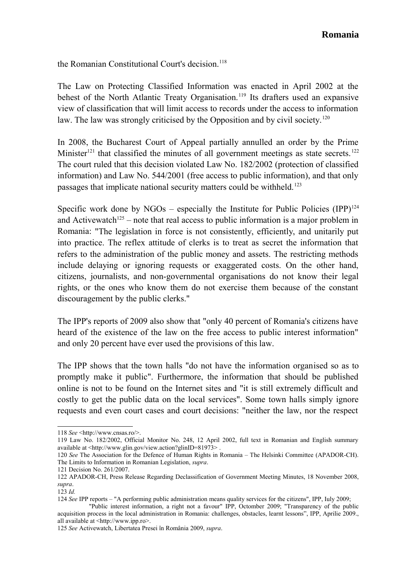the Romanian Constitutional Court's decision.<sup>[118](#page-22-0)</sup>

The Law on Protecting Classified Information was enacted in April 2002 at the behest of the North Atlantic Treaty Organisation.<sup>[119](#page-22-1)</sup> Its drafters used an expansive view of classification that will limit access to records under the access to information law. The law was strongly criticised by the Opposition and by civil society.<sup>[120](#page-22-2)</sup>

In 2008, the Bucharest Court of Appeal partially annulled an order by the Prime Minister<sup>[121](#page-22-3)</sup> that classified the minutes of all government meetings as state secrets.<sup>[122](#page-22-4)</sup> The court ruled that this decision violated Law No. 182/2002 (protection of classified information) and Law No. 544/2001 (free access to public information), and that only passages that implicate national security matters could be withheld.<sup>[123](#page-22-5)</sup>

Specific work done by NGOs – especially the Institute for Public Policies  $(IPP)^{124}$  $(IPP)^{124}$  $(IPP)^{124}$ and Activewatch<sup>[125](#page-22-7)</sup> – note that real access to public information is a major problem in Romania: "The legislation in force is not consistently, efficiently, and unitarily put into practice. The reflex attitude of clerks is to treat as secret the information that refers to the administration of the public money and assets. The restricting methods include delaying or ignoring requests or exaggerated costs. On the other hand, citizens, journalists, and non-governmental organisations do not know their legal rights, or the ones who know them do not exercise them because of the constant discouragement by the public clerks."

The IPP's reports of 2009 also show that "only 40 percent of Romania's citizens have heard of the existence of the law on the free access to public interest information" and only 20 percent have ever used the provisions of this law.

The IPP shows that the town halls "do not have the information organised so as to promptly make it public". Furthermore, the information that should be published online is not to be found on the Internet sites and "it is still extremely difficult and costly to get the public data on the local services". Some town halls simply ignore requests and even court cases and court decisions: "neither the law, nor the respect

<span id="page-22-0"></span><sup>118</sup> *See* <http://www.cnsas.ro/>.

<span id="page-22-1"></span><sup>119</sup> Law No. 182/2002, Official Monitor No. 248, 12 April 2002, full text in Romanian and English summary available at <http://www.glin.gov/view.action?glinID=81973> .

<span id="page-22-2"></span><sup>120</sup> *See* The Association for the Defence of Human Rights in Romania – The Helsinki Committee (APADOR-CH). The Limits to Information in Romanian Legislation, *supra*.

<span id="page-22-3"></span><sup>121</sup> Decision No. 261/2007.

<span id="page-22-4"></span><sup>122</sup> APADOR-CH, Press Release Regarding Declassification of Government Meeting Minutes, 18 November 2008, *supra*.

<span id="page-22-5"></span><sup>123</sup> *Id.*

<span id="page-22-6"></span><sup>124</sup> *See* IPP reports – "A performing public administration means quality services for the citizens", IPP, Iuly 2009;

 <sup>&</sup>quot;Public interest information, a right not a favour" IPP, Octomber 2009; "Transparency of the public acquisition process in the local administration in Romania: challenges, obstacles, learnt lessons", IPP, Aprilie 2009., all available at <http:/[/www.ipp.ro>](http://www.ipp.ro/).

<span id="page-22-7"></span><sup>125</sup> *See* Activewatch, Libertatea Presei în România 2009, *supra*.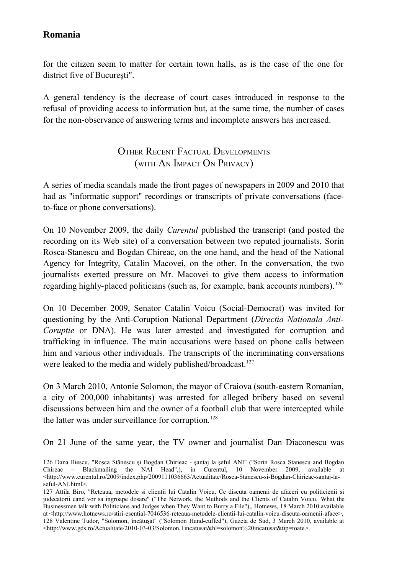for the citizen seem to matter for certain town halls, as is the case of the one for district five of Bucureşti".

A general tendency is the decrease of court cases introduced in response to the refusal of providing access to information but, at the same time, the number of cases for the non-observance of answering terms and incomplete answers has increased.

## OTHER RECENT FACTUAL DEVELOPMENTS (WITH AN IMPACT ON PRIVACY)

A series of media scandals made the front pages of newspapers in 2009 and 2010 that had as "informatic support" recordings or transcripts of private conversations (faceto-face or phone conversations).

On 10 November 2009, the daily *Curentul* published the transcript (and posted the recording on its Web site) of a conversation between two reputed journalists, Sorin Rosca-Stanescu and Bogdan Chireac, on the one hand, and the head of the National Agency for Integrity, Catalin Macovei, on the other. In the conversation, the two journalists exerted pressure on Mr. Macovei to give them access to information regarding highly-placed politicians (such as, for example, bank accounts numbers).<sup>[126](#page-23-0)</sup>

On 10 December 2009, Senator Catalin Voicu (Social-Democrat) was invited for questioning by the Anti-Coruption National Department (*Directia Nationala Anti-Coruptie* or DNA). He was later arrested and investigated for corruption and trafficking in influence. The main accusations were based on phone calls between him and various other individuals. The transcripts of the incriminating conversations were leaked to the media and widely published/broadcast.<sup>[127](#page-23-1)</sup>

On 3 March 2010, Antonie Solomon, the mayor of Craiova (south-eastern Romanian, a city of 200,000 inhabitants) was arrested for alleged bribery based on several discussions between him and the owner of a football club that were intercepted while the latter was under surveillance for corruption.<sup>[128](#page-23-2)</sup>

On 21 June of the same year, the TV owner and journalist Dan Diaconescu was

<span id="page-23-0"></span><sup>126</sup> Dana Iliescu, "Roşca Stănescu şi Bogdan Chirieac - şantaj la şeful ANI" ("Sorin Rosca Stanescu and Bogdan Chireac – Blackmailing the NAI Head",), in Curentul, 10 November 2009, available at  $\lt$ http://www.curentul.ro/2009/index.php/2009111036663/Actualitate/Rosca-Stanescu-si-Bogdan-Chirieac-santaj-la[seful-ANI.html>](http://www.curentul.ro/2009/index.php/2009111036663/Actualitate/Rosca-Stanescu-si-Bogdan-Chirieac-santaj-la-seful-ANI.html).

<span id="page-23-2"></span><span id="page-23-1"></span><sup>127</sup> Attila Biro, "Reteaua, metodele si clientii lui Catalin Voicu. Ce discuta oamenii de afaceri cu politicienii si judecatorii cand vor sa ingroape dosare" ("The Network, the Methods and the Clients of Catalin Voicu. What the Businessmen talk with Politicians and Judges when They Want to Burry a File"),, Hotnews, 18 March 2010 available at <http://www.hotnews.ro/stiri-esential-7046536-reteaua-metodele-clientii-lui-catalin-voicu-discuta-oamenii-aface>, 128 Valentine Tudor, "Solomon, încătuşat" ("Solomon Hand-cuffed"), Gazeta de Sud, 3 March 2010, available at [<http://www.gds.ro/Actualitate/2010-03-03/Solomon,+incatusat&hl=solomon%20incatusat&tip=toate>](http://www.gds.ro/Actualitate/2010-03-03/Solomon,+incatusat&hl=solomon%20incatusat&tip=toate).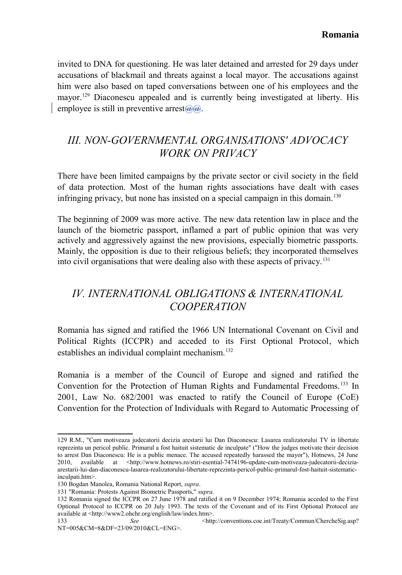invited to DNA for questioning. He was later detained and arrested for 29 days under accusations of blackmail and threats against a local mayor. The accusations against him were also based on taped conversations between one of his employees and the mayor.<sup>[129](#page-24-0)</sup> Diaconescu appealed and is currently being investigated at liberty. His employee is still in preventive arrest $\left(\frac{\partial}{\partial x}\right)$ .

# *III. NON-GOVERNMENTAL ORGANISATIONS' ADVOCACY WORK ON PRIVACY*

There have been limited campaigns by the private sector or civil society in the field of data protection. Most of the human rights associations have dealt with cases infringing privacy, but none has insisted on a special campaign in this domain.<sup>[130](#page-24-1)</sup>

The beginning of 2009 was more active. The new data retention law in place and the launch of the biometric passport, inflamed a part of public opinion that was very actively and aggressively against the new provisions, especially biometric passports. Mainly, the opposition is due to their religious beliefs; they incorporated themselves into civil organisations that were dealing also with these aspects of privacy.[131](#page-24-2)

# *IV. INTERNATIONAL OBLIGATIONS & INTERNATIONAL COOPERATION*

Romania has signed and ratified the 1966 UN International Covenant on Civil and Political Rights (ICCPR) and acceded to its First Optional Protocol, which establishes an individual complaint mechanism.<sup>[132](#page-24-3)</sup>

Romania is a member of the Council of Europe and signed and ratified the Convention for the Protection of Human Rights and Fundamental Freedoms. [133](#page-24-4) In 2001, Law No. 682/2001 was enacted to ratify the Council of Europe (CoE) Convention for the Protection of Individuals with Regard to Automatic Processing of

<span id="page-24-0"></span><sup>129</sup> R.M., "Cum motiveaza judecatorii decizia arestarii lui Dan Diaconescu: Lasarea realizatorului TV in libertate reprezinta un pericol public. Primarul a fost haituit sistematic de inculpate" ("How the judges motivate their decision to arrest Dan Diaconescu: He is a public menace. The accused repeatedly harassed the mayor"), Hotnews, 24 June 2010, available at [<http://www.hotnews.ro/stiri-esential-7474196-update-cum-motiveaza-judecatorii-decizia](http://www.hotnews.ro/stiri-esential-7474196-update-cum-motiveaza-judecatorii-decizia-arestarii-lui-dan-diaconescu-lasarea-realizatorului-libertate-reprezinta-pericol-public-primarul-fost-haituit-sistematic-inculpati.htm)[arestarii-lui-dan-diaconescu-lasarea-realizatorului-libertate-reprezinta-pericol-public-primarul-fost-haituit-sistematic](http://www.hotnews.ro/stiri-esential-7474196-update-cum-motiveaza-judecatorii-decizia-arestarii-lui-dan-diaconescu-lasarea-realizatorului-libertate-reprezinta-pericol-public-primarul-fost-haituit-sistematic-inculpati.htm)[inculpati.htm>](http://www.hotnews.ro/stiri-esential-7474196-update-cum-motiveaza-judecatorii-decizia-arestarii-lui-dan-diaconescu-lasarea-realizatorului-libertate-reprezinta-pericol-public-primarul-fost-haituit-sistematic-inculpati.htm).

<span id="page-24-1"></span><sup>130</sup> Bogdan Manolea, Romania National Report, *supra*.

<span id="page-24-2"></span><sup>131 &</sup>quot;Romania: Protests Against Biometric Passports," *supra*.

<span id="page-24-3"></span><sup>132</sup> Romania signed the ICCPR on 27 June 1978 and ratified it on 9 December 1974; Romania acceded to the First Optional Protocol to ICCPR on 20 July 1993. The texts of the Covenant and of its First Optional Protocol are available at <http://www2.ohchr.org/english/law/index.htm>.

<span id="page-24-4"></span><sup>133</sup> *See* <http://conventions.coe.int/Treaty/Commun/ChercheSig.asp? NT=005&CM=8&DF=23/09/2010&CL=ENG>.